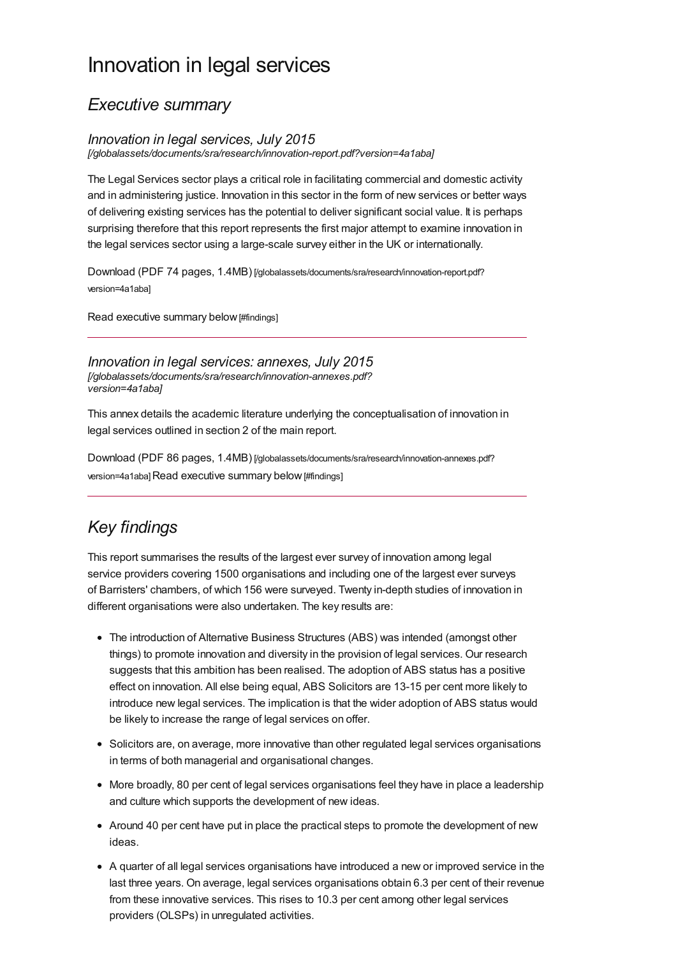# Innovation in legal services

### *Executive summary*

#### *Innovation in legal services, July 2015*

*[\[/globalassets/documents/sra/research/innovation-report.pdf?version=4a1aba\]](https://www.sra.org.uk/globalassets/documents/sra/research/innovation-report.pdf?version=4a1aba)*

The Legal Services sector plays a critical role in facilitating commercial and domestic activity and in administering justice. Innovation in this sector in the form of new services or better ways of delivering existing services has the potential to deliver significant social value. It is perhaps surprising therefore that this report represents the first major attempt to examine innovation in the legal services sector using a large-scale survey either in the UK or internationally.

Download (PDF 74 pages, 1.4MB) [\[/globalassets/documents/sra/research/innovation-report.pdf?](https://www.sra.org.uk/globalassets/documents/sra/research/innovation-report.pdf?version=4a1aba) version=4a1aba]

Read [executive](#page-0-0) summary below [#findings]

*Innovation in legal services: annexes, July 2015 [\[/globalassets/documents/sra/research/innovation-annexes.pdf?](https://www.sra.org.uk/globalassets/documents/sra/research/innovation-annexes.pdf?version=4a1aba) version=4a1aba]*

This annex details the academic literature underlying the conceptualisation of innovation in legal services outlined in section 2 of the main report.

Download (PDF 86 pages, 1.4MB) [\[/globalassets/documents/sra/research/innovation-annexes.pdf?](https://www.sra.org.uk/globalassets/documents/sra/research/innovation-annexes.pdf?version=4a1aba) version=4a1aba] Read [executive](#page-0-0) summary below [#findings]

## <span id="page-0-0"></span>*Key findings*

This report summarises the results of the largest ever survey of innovation among legal service providers covering 1500 organisations and including one of the largest ever surveys of Barristers' chambers, of which 156 were surveyed. Twenty in-depth studies of innovation in different organisations were also undertaken. The key results are:

- The introduction of Alternative Business Structures (ABS) was intended (amongst other things) to promote innovation and diversity in the provision of legal services. Our research suggests that this ambition has been realised. The adoption of ABS status has a positive effect on innovation. All else being equal, ABS Solicitors are 13-15 per cent more likely to introduce new legal services. The implication is that the wider adoption of ABS status would be likely to increase the range of legal services on offer.
- Solicitors are, on average, more innovative than other regulated legal services organisations in terms of both managerial and organisational changes.
- More broadly, 80 per cent of legal services organisations feel they have in place a leadership and culture which supports the development of new ideas.
- Around 40 per cent have put in place the practical steps to promote the development of new ideas.
- A quarter of all legal services organisations have introduced a new or improved service in the last three years. On average, legal services organisations obtain 6.3 per cent of their revenue from these innovative services. This rises to 10.3 per cent among other legal services providers (OLSPs) in unregulated activities.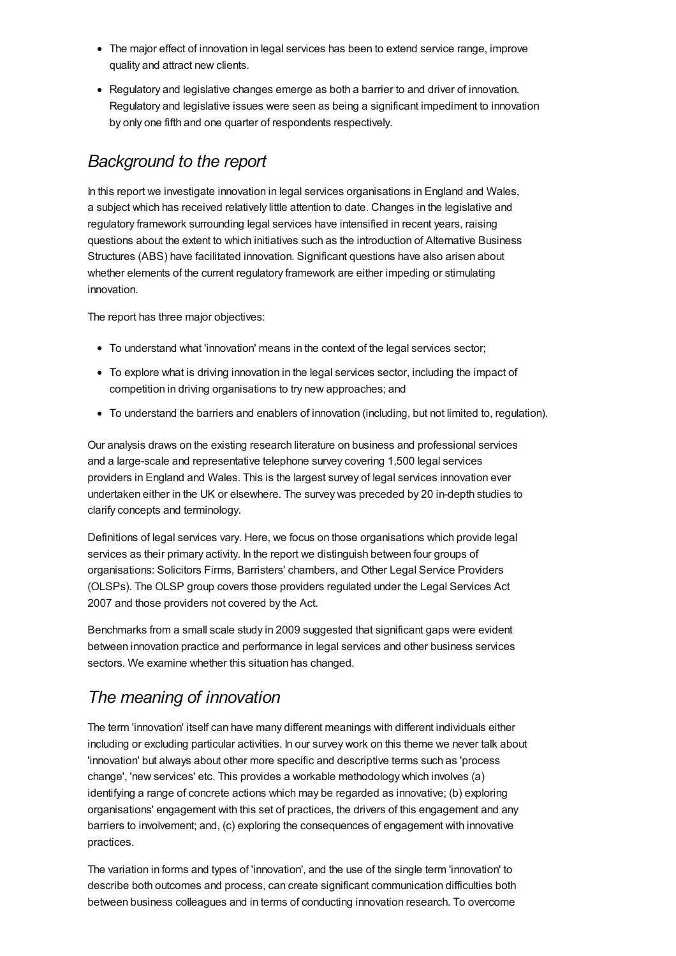- The major effect of innovation in legal services has been to extend service range, improve quality and attract new clients.
- Regulatory and legislative changes emerge as both a barrier to and driver of innovation. Regulatory and legislative issues were seen as being a significant impediment to innovation by only one fifth and one quarter of respondents respectively.

## *Background to the report*

In this report we investigate innovation in legal services organisations in England and Wales, a subject which has received relatively little attention to date. Changes in the legislative and regulatory framework surrounding legal services have intensified in recent years, raising questions about the extent to which initiatives such as the introduction of Alternative Business Structures (ABS) have facilitated innovation. Significant questions have also arisen about whether elements of the current regulatory framework are either impeding or stimulating innovation.

The report has three major objectives:

- To understand what 'innovation' means in the context of the legal services sector;
- To explore what is driving innovation in the legal services sector, including the impact of competition in driving organisations to try new approaches; and
- To understand the barriers and enablers of innovation (including, but not limited to, regulation).

Our analysis draws on the existing research literature on business and professional services and a large-scale and representative telephone survey covering 1,500 legal services providers in England and Wales. This is the largest survey of legal services innovation ever undertaken either in the UK or elsewhere. The survey was preceded by 20 in-depth studies to clarify concepts and terminology.

Definitions of legal services vary. Here, we focus on those organisations which provide legal services as their primary activity. In the report we distinguish between four groups of organisations: Solicitors Firms, Barristers' chambers, and Other Legal Service Providers (OLSPs). The OLSP group covers those providers regulated under the Legal Services Act 2007 and those providers not covered by the Act.

Benchmarks from a small scale study in 2009 suggested that significant gaps were evident between innovation practice and performance in legal services and other business services sectors. We examine whether this situation has changed.

## *The meaning of innovation*

The term 'innovation' itself can have many different meanings with different individuals either including or excluding particular activities. In our survey work on this theme we never talk about 'innovation' but always about other more specific and descriptive terms such as 'process change', 'new services' etc. This provides a workable methodology which involves (a) identifying a range of concrete actions which may be regarded as innovative; (b) exploring organisations' engagement with this set of practices, the drivers of this engagement and any barriers to involvement; and, (c) exploring the consequences of engagement with innovative practices.

The variation in forms and types of 'innovation', and the use of the single term 'innovation' to describe both outcomes and process, can create significant communication difficulties both between business colleagues and in terms of conducting innovation research. To overcome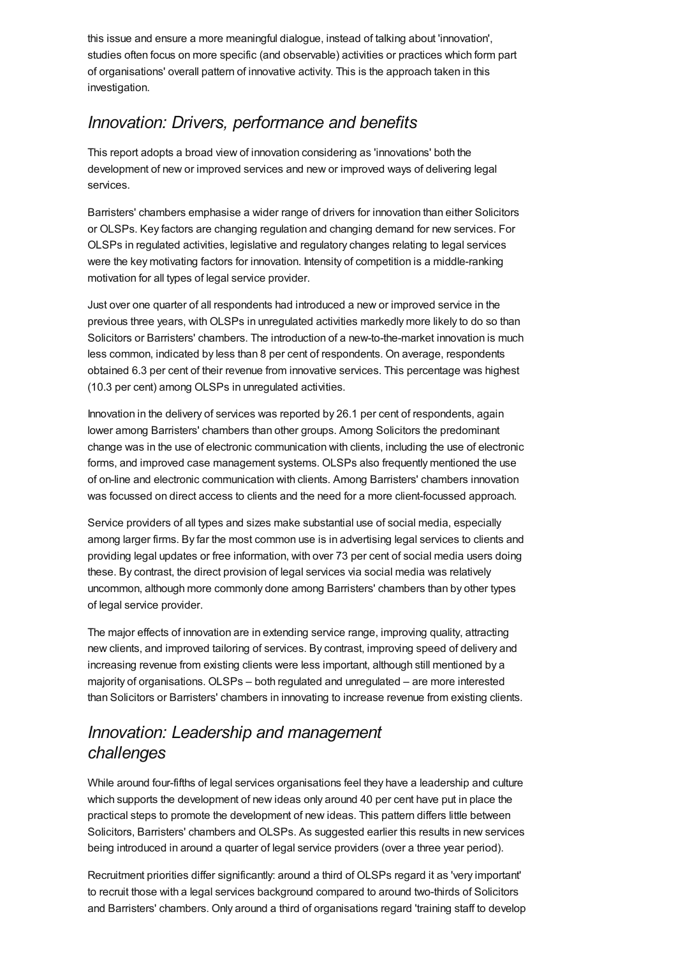this issue and ensure a more meaningful dialogue, instead of talking about 'innovation', studies often focus on more specific (and observable) activities or practices which form part of organisations' overall pattern of innovative activity. This is the approach taken in this investigation.

## *Innovation: Drivers, performance and benefits*

This report adopts a broad view of innovation considering as 'innovations' both the development of new or improved services and new or improved ways of delivering legal services.

Barristers' chambers emphasise a wider range of drivers for innovation than either Solicitors or OLSPs. Key factors are changing regulation and changing demand for new services. For OLSPs in regulated activities, legislative and regulatory changes relating to legal services were the key motivating factors for innovation. Intensity of competition is a middle-ranking motivation for all types of legal service provider.

Just over one quarter of all respondents had introduced a new or improved service in the previous three years, withOLSPs in unregulated activities markedly more likely to do so than Solicitors or Barristers' chambers. The introduction of a new-to-the-market innovation is much less common, indicated by less than 8 per cent of respondents. On average, respondents obtained 6.3 per cent of their revenue from innovative services. This percentage was highest (10.3 per cent) among OLSPs in unregulated activities.

Innovation in the delivery of services was reported by 26.1 per cent of respondents, again lower among Barristers' chambers than other groups. Among Solicitors the predominant change was in the use of electronic communication with clients, including the use of electronic forms, and improved case management systems. OLSPs also frequently mentioned the use of on-line and electronic communication with clients. Among Barristers' chambers innovation was focussed on direct access to clients and the need for a more client-focussed approach.

Service providers of all types and sizes make substantial use of social media, especially among larger firms. By far the most common use is in advertising legal services to clients and providing legal updates or free information, with over 73 per cent of social media users doing these. By contrast, the direct provision of legal services via social media was relatively uncommon, although more commonly done among Barristers' chambers than by other types of legal service provider.

The major effects of innovation are in extending service range, improving quality, attracting new clients, and improved tailoring of services. By contrast, improving speed of delivery and increasing revenue from existing clients were less important, although still mentioned by a majority of organisations. OLSPs – both regulated and unregulated – are more interested than Solicitors or Barristers' chambers in innovating to increase revenue from existing clients.

## *Innovation: Leadership and management challenges*

While around four-fifths of legal services organisations feel they have a leadership and culture which supports the development of new ideas only around 40 per cent have put in place the practical steps to promote the development of new ideas. This pattern differs little between Solicitors, Barristers' chambers and OLSPs. As suggested earlier this results in new services being introduced in around a quarter of legal service providers (over a three year period).

Recruitment priorities differ significantly: around a third of OLSPs regard it as 'very important' to recruit those with a legal services background compared to around two-thirds of Solicitors and Barristers' chambers. Only around a third of organisations regard 'training staff to develop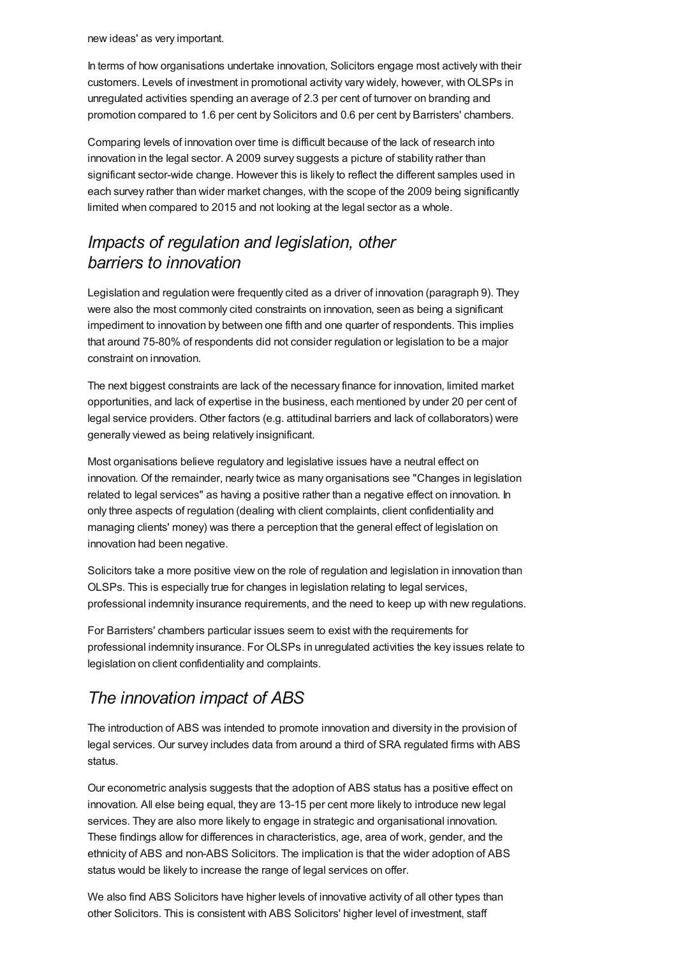new ideas' as very important.

In terms of how organisations undertake innovation, Solicitors engage most actively with their customers. Levels of investment in promotional activity vary widely, however, withOLSPs in unregulated activities spending an average of 2.3 per cent of turnover on branding and promotion compared to 1.6 per cent by Solicitors and 0.6 per cent by Barristers' chambers.

Comparing levels of innovation over time is difficult because of the lack of research into innovation in the legal sector. A 2009 survey suggests a picture of stability rather than significant sector-wide change. However this is likely to reflect the different samples used in each survey rather than wider market changes, with the scope of the 2009 being significantly limited when compared to 2015 and not looking at the legal sector as a whole.

## *Impacts of regulation and legislation, other barriers to innovation*

Legislation and regulation were frequently cited as a driver of innovation (paragraph 9). They were also the most commonly cited constraints on innovation, seen as being a significant impediment to innovation by between one fifth and one quarter of respondents. This implies that around 75-80% of respondents did not consider regulation or legislation to be a major constraint on innovation.

The next biggest constraints are lack of the necessary finance for innovation, limited market opportunities, and lack of expertise in the business, each mentioned by under 20 per cent of legal service providers. Other factors (e.g. attitudinal barriers and lack of collaborators) were generally viewed as being relatively insignificant.

Most organisations believe regulatory and legislative issues have a neutral effect on innovation. Of the remainder, nearly twice as many organisations see "Changes in legislation related to legal services" as having a positive rather than a negative effect on innovation. In only three aspects of regulation (dealing with client complaints, client confidentiality and managing clients' money) was there a perception that the general effect of legislation on innovation had been negative.

Solicitors take a more positive view on the role of regulation and legislation in innovation than OLSPs. This is especially true for changes in legislation relating to legal services, professional indemnity insurance requirements, and the need to keep up with new regulations.

For Barristers' chambers particular issues seem to exist with the requirements for professional indemnity insurance. For OLSPs in unregulated activities the key issues relate to legislation on client confidentiality and complaints.

## *The innovation impact of ABS*

The introduction of ABS was intended to promote innovation and diversity in the provision of legal services. Our survey includes data from around a third of SRA regulated firms with ABS status.

Our econometric analysis suggests that the adoption of ABS status has a positive effect on innovation. All else being equal, they are 13-15 per cent more likely to introduce new legal services. They are also more likely to engage in strategic and organisational innovation. These findings allow for differences in characteristics, age, area of work, gender, and the ethnicity of ABS and non-ABS Solicitors. The implication is that the wider adoption of ABS status would be likely to increase the range of legal services on offer.

We also find ABS Solicitors have higher levels of innovative activity of all other types than other Solicitors. This is consistent with ABS Solicitors' higher level of investment, staff